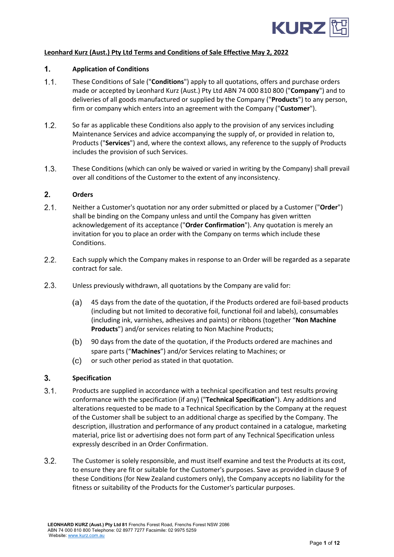

# **Leonhard Kurz (Aust.) Pty Ltd Terms and Conditions of Sale Effective May 2, 2022**

#### $1<sub>1</sub>$ **Application of Conditions**

- $1.1.$ These Conditions of Sale ("**Conditions**") apply to all quotations, offers and purchase orders made or accepted by Leonhard Kurz (Aust.) Pty Ltd ABN 74 000 810 800 ("**Company**") and to deliveries of all goods manufactured or supplied by the Company ("**Products**") to any person, firm or company which enters into an agreement with the Company ("**Customer**").
- $1.2.$ So far as applicable these Conditions also apply to the provision of any services including Maintenance Services and advice accompanying the supply of, or provided in relation to, Products ("**Services**") and, where the context allows, any reference to the supply of Products includes the provision of such Services.
- $1.3.$ These Conditions (which can only be waived or varied in writing by the Company) shall prevail over all conditions of the Customer to the extent of any inconsistency.

#### $2.$ **Orders**

- $2.1.$ Neither a Customer's quotation nor any order submitted or placed by a Customer ("**Order**") shall be binding on the Company unless and until the Company has given written acknowledgement of its acceptance ("**Order Confirmation**"). Any quotation is merely an invitation for you to place an order with the Company on terms which include these Conditions.
- $2.2.$ Each supply which the Company makes in response to an Order will be regarded as a separate contract for sale.
- $2.3.$ Unless previously withdrawn, all quotations by the Company are valid for:
	- $(a)$ 45 days from the date of the quotation, if the Products ordered are foil-based products (including but not limited to decorative foil, functional foil and labels), consumables (including ink, varnishes, adhesives and paints) or ribbons (together "**Non Machine Products**") and/or services relating to Non Machine Products;
	- $(b)$ 90 days from the date of the quotation, if the Products ordered are machines and spare parts ("**Machines**") and/or Services relating to Machines; or
	- $(c)$ or such other period as stated in that quotation.

#### $3<sub>1</sub>$ **Specification**

- $3.1.$ Products are supplied in accordance with a technical specification and test results proving conformance with the specification (if any) ("**Technical Specification**"). Any additions and alterations requested to be made to a Technical Specification by the Company at the request of the Customer shall be subject to an additional charge as specified by the Company. The description, illustration and performance of any product contained in a catalogue, marketing material, price list or advertising does not form part of any Technical Specification unless expressly described in an Order Confirmation.
- $3.2.$ The Customer is solely responsible, and must itself examine and test the Products at its cost, to ensure they are fit or suitable for the Customer's purposes. Save as provided in clause [9](#page-4-0) of these Conditions (for New Zealand customers only), the Company accepts no liability for the fitness or suitability of the Products for the Customer's particular purposes.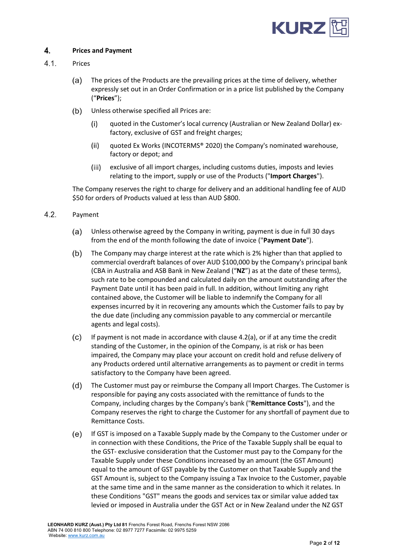

## 4. **Prices and Payment**

## $4.1.$ Prices

- $(a)$ The prices of the Products are the prevailing prices at the time of delivery, whether expressly set out in an Order Confirmation or in a price list published by the Company ("**Prices**");
- $(b)$ Unless otherwise specified all Prices are:
	- quoted in the Customer's local currency (Australian or New Zealand Dollar) ex- $(i)$ factory, exclusive of GST and freight charges;
	- $(ii)$ quoted Ex Works (INCOTERMS® 2020) the Company's nominated warehouse, factory or depot; and
	- $(iii)$ exclusive of all import charges, including customs duties, imposts and levies relating to the import, supply or use of the Products ("**Import Charges**").

The Company reserves the right to charge for delivery and an additional handling fee of AUD \$50 for orders of Products valued at less than AUD \$800.

- <span id="page-1-1"></span><span id="page-1-0"></span> $4.2.$ Payment
	- $(a)$ Unless otherwise agreed by the Company in writing, payment is due in full 30 days from the end of the month following the date of invoice ("**Payment Date**").
	- The Company may charge interest at the rate which is 2% higher than that applied to  $(b)$ commercial overdraft balances of over AUD \$100,000 by the Company's principal bank (CBA in Australia and ASB Bank in New Zealand ("**NZ**") as at the date of these terms), such rate to be compounded and calculated daily on the amount outstanding after the Payment Date until it has been paid in full. In addition, without limiting any right contained above, the Customer will be liable to indemnify the Company for all expenses incurred by it in recovering any amounts which the Customer fails to pay by the due date (including any commission payable to any commercial or mercantile agents and legal costs).
	- $(c)$ If payment is not made in accordance with clause [4.2\(a\),](#page-1-0) or if at any time the credit standing of the Customer, in the opinion of the Company, is at risk or has been impaired, the Company may place your account on credit hold and refuse delivery of any Products ordered until alternative arrangements as to payment or credit in terms satisfactory to the Company have been agreed.
	- $(d)$ The Customer must pay or reimburse the Company all Import Charges. The Customer is responsible for paying any costs associated with the remittance of funds to the Company, including charges by the Company's bank ("**Remittance Costs**"), and the Company reserves the right to charge the Customer for any shortfall of payment due to Remittance Costs.
	- $(e)$ If GST is imposed on a Taxable Supply made by the Company to the Customer under or in connection with these Conditions, the Price of the Taxable Supply shall be equal to the GST- exclusive consideration that the Customer must pay to the Company for the Taxable Supply under these Conditions increased by an amount (the GST Amount) equal to the amount of GST payable by the Customer on that Taxable Supply and the GST Amount is, subject to the Company issuing a Tax Invoice to the Customer, payable at the same time and in the same manner as the consideration to which it relates. In these Conditions "GST" means the goods and services tax or similar value added tax levied or imposed in Australia under the GST Act or in New Zealand under the NZ GST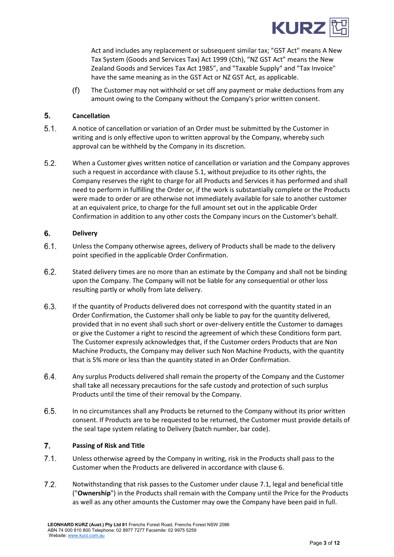

Act and includes any replacement or subsequent similar tax; "GST Act" means A New Tax System (Goods and Services Tax) Act 1999 (Cth), "NZ GST Act" means the New Zealand Goods and Services Tax Act 1985", and "Taxable Supply" and "Tax Invoice" have the same meaning as in the GST Act or NZ GST Act, as applicable.

 $(f)$ The Customer may not withhold or set off any payment or make deductions from any amount owing to the Company without the Company's prior written consent.

## $5<sub>1</sub>$ **Cancellation**

- <span id="page-2-0"></span> $5.1.$ A notice of cancellation or variation of an Order must be submitted by the Customer in writing and is only effective upon to written approval by the Company, whereby such approval can be withheld by the Company in its discretion.
- $5.2.$ When a Customer gives written notice of cancellation or variation and the Company approves such a request in accordance with claus[e 5.1,](#page-2-0) without prejudice to its other rights, the Company reserves the right to charge for all Products and Services it has performed and shall need to perform in fulfilling the Order or, if the work is substantially complete or the Products were made to order or are otherwise not immediately available for sale to another customer at an equivalent price, to charge for the full amount set out in the applicable Order Confirmation in addition to any other costs the Company incurs on the Customer's behalf.

#### <span id="page-2-1"></span>6. **Delivery**

- $6.1.$ Unless the Company otherwise agrees, delivery of Products shall be made to the delivery point specified in the applicable Order Confirmation.
- $6.2.$ Stated delivery times are no more than an estimate by the Company and shall not be binding upon the Company. The Company will not be liable for any consequential or other loss resulting partly or wholly from late delivery.
- $6.3.$ If the quantity of Products delivered does not correspond with the quantity stated in an Order Confirmation, the Customer shall only be liable to pay for the quantity delivered, provided that in no event shall such short or over-delivery entitle the Customer to damages or give the Customer a right to rescind the agreement of which these Conditions form part. The Customer expressly acknowledges that, if the Customer orders Products that are Non Machine Products, the Company may deliver such Non Machine Products, with the quantity that is 5% more or less than the quantity stated in an Order Confirmation.
- 6.4. Any surplus Products delivered shall remain the property of the Company and the Customer shall take all necessary precautions for the safe custody and protection of such surplus Products until the time of their removal by the Company.
- $6.5.$ In no circumstances shall any Products be returned to the Company without its prior written consent. If Products are to be requested to be returned, the Customer must provide details of the seal tape system relating to Delivery (batch number, bar code).

# <span id="page-2-4"></span> $\overline{7}$ . **Passing of Risk and Title**

- <span id="page-2-2"></span> $7.1.$ Unless otherwise agreed by the Company in writing, risk in the Products shall pass to the Customer when the Products are delivered in accordance with clause [6.](#page-2-1)
- <span id="page-2-3"></span> $7.2.$ Notwithstanding that risk passes to the Customer under claus[e 7.1,](#page-2-2) legal and beneficial title ("**Ownership**") in the Products shall remain with the Company until the Price for the Products as well as any other amounts the Customer may owe the Company have been paid in full.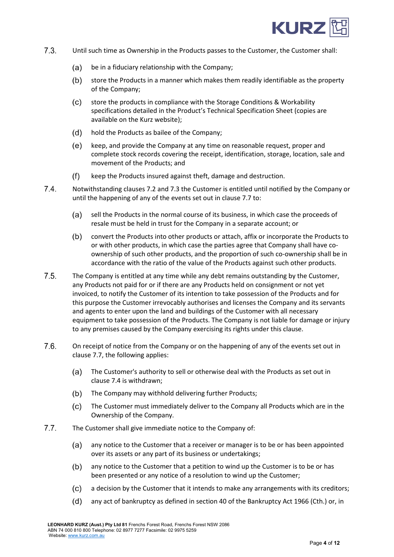

- <span id="page-3-0"></span> $7.3.$ Until such time as Ownership in the Products passes to the Customer, the Customer shall:
	- $(a)$ be in a fiduciary relationship with the Company;
	- $(b)$ store the Products in a manner which makes them readily identifiable as the property of the Company;
	- store the products in compliance with the Storage Conditions & Workability  $(c)$ specifications detailed in the Product's Technical Specification Sheet (copies are available on the Kurz website);
	- $(d)$ hold the Products as bailee of the Company;
	- $(e)$ keep, and provide the Company at any time on reasonable request, proper and complete stock records covering the receipt, identification, storage, location, sale and movement of the Products; and
	- $(f)$ keep the Products insured against theft, damage and destruction.
- <span id="page-3-2"></span> $7.4.$ Notwithstanding clause[s 7.2](#page-2-3) and [7.3](#page-3-0) the Customer is entitled until notified by the Company or until the happening of any of the events set out in clause [7.7](#page-3-1) to:
	- $(a)$ sell the Products in the normal course of its business, in which case the proceeds of resale must be held in trust for the Company in a separate account; or
	- $(b)$ convert the Products into other products or attach, affix or incorporate the Products to or with other products, in which case the parties agree that Company shall have coownership of such other products, and the proportion of such co-ownership shall be in accordance with the ratio of the value of the Products against such other products.
- $7.5.$ The Company is entitled at any time while any debt remains outstanding by the Customer, any Products not paid for or if there are any Products held on consignment or not yet invoiced, to notify the Customer of its intention to take possession of the Products and for this purpose the Customer irrevocably authorises and licenses the Company and its servants and agents to enter upon the land and buildings of the Customer with all necessary equipment to take possession of the Products. The Company is not liable for damage or injury to any premises caused by the Company exercising its rights under this clause.
- $7.6.$ On receipt of notice from the Company or on the happening of any of the events set out in clause [7.7,](#page-3-1) the following applies:
	- $(a)$ The Customer's authority to sell or otherwise deal with the Products as set out in clause [7.4](#page-3-2) is withdrawn;
	- $(b)$ The Company may withhold delivering further Products;
	- $(c)$ The Customer must immediately deliver to the Company all Products which are in the Ownership of the Company.
- <span id="page-3-1"></span> $7.7.$ The Customer shall give immediate notice to the Company of:
	- $(a)$ any notice to the Customer that a receiver or manager is to be or has been appointed over its assets or any part of its business or undertakings;
	- $(b)$ any notice to the Customer that a petition to wind up the Customer is to be or has been presented or any notice of a resolution to wind up the Customer;
	- $(c)$ a decision by the Customer that it intends to make any arrangements with its creditors;
	- $(d)$ any act of bankruptcy as defined in section 40 of the Bankruptcy Act 1966 (Cth.) or, in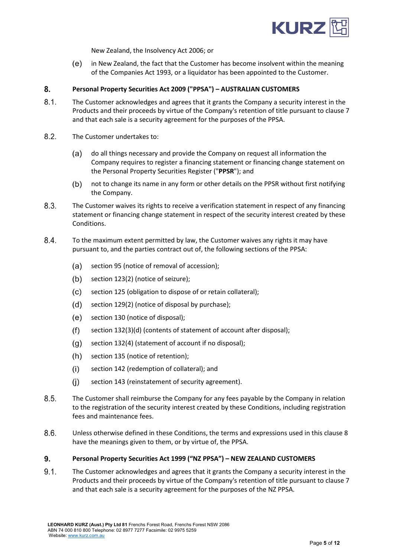

New Zealand, the Insolvency Act 2006; or

 $(e)$ in New Zealand, the fact that the Customer has become insolvent within the meaning of the Companies Act 1993, or a liquidator has been appointed to the Customer.

## <span id="page-4-1"></span>8. **Personal Property Securities Act 2009 ("PPSA") – AUSTRALIAN CUSTOMERS**

- $8.1.$ The Customer acknowledges and agrees that it grants the Company a security interest in the Products and their proceeds by virtue of the Company's retention of title pursuant to claus[e 7](#page-2-4) and that each sale is a security agreement for the purposes of the PPSA.
- $8.2.$ The Customer undertakes to:
	- $(a)$ do all things necessary and provide the Company on request all information the Company requires to register a financing statement or financing change statement on the Personal Property Securities Register ("**PPSR**"); and
	- $(b)$ not to change its name in any form or other details on the PPSR without first notifying the Company.
- 8.3. The Customer waives its rights to receive a verification statement in respect of any financing statement or financing change statement in respect of the security interest created by these Conditions.
- 8.4. To the maximum extent permitted by law, the Customer waives any rights it may have pursuant to, and the parties contract out of, the following sections of the PPSA:
	- $(a)$ section 95 (notice of removal of accession);
	- $(b)$ section 123(2) (notice of seizure);
	- $(c)$ section 125 (obligation to dispose of or retain collateral);
	- $(d)$ section 129(2) (notice of disposal by purchase);
	- $(e)$ section 130 (notice of disposal);
	- $(f)$ section 132(3)(d) (contents of statement of account after disposal);
	- $(g)$ section 132(4) (statement of account if no disposal);
	- $(h)$ section 135 (notice of retention);
	- $(i)$ section 142 (redemption of collateral); and
	- $(i)$ section 143 (reinstatement of security agreement).
- $8.5.$ The Customer shall reimburse the Company for any fees payable by the Company in relation to the registration of the security interest created by these Conditions, including registration fees and maintenance fees.
- $8.6.$ Unless otherwise defined in these Conditions, the terms and expressions used in this clause [8](#page-4-1) have the meanings given to them, or by virtue of, the PPSA.

#### <span id="page-4-0"></span>9. **Personal Property Securities Act 1999 ("NZ PPSA") – NEW ZEALAND CUSTOMERS**

 $9.1.$ The Customer acknowledges and agrees that it grants the Company a security interest in the Products and their proceeds by virtue of the Company's retention of title pursuant to claus[e 7](#page-2-4) and that each sale is a security agreement for the purposes of the NZ PPSA.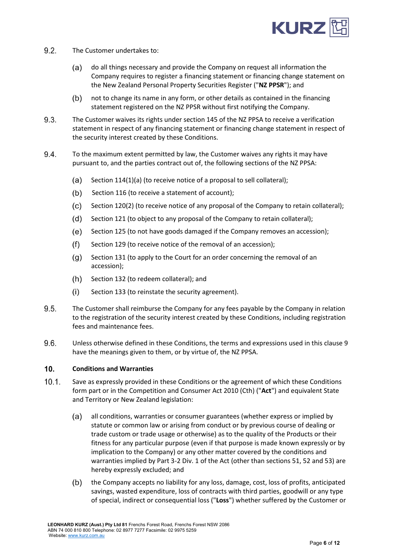

- $9.2.$ The Customer undertakes to:
	- (a) do all things necessary and provide the Company on request all information the Company requires to register a financing statement or financing change statement on the New Zealand Personal Property Securities Register ("**NZ PPSR**"); and
	- not to change its name in any form, or other details as contained in the financing  $(b)$ statement registered on the NZ PPSR without first notifying the Company.
- 9.3. The Customer waives its rights under section 145 of the NZ PPSA to receive a verification statement in respect of any financing statement or financing change statement in respect of the security interest created by these Conditions.
- 9.4. To the maximum extent permitted by law, the Customer waives any rights it may have pursuant to, and the parties contract out of, the following sections of the NZ PPSA:
	- $(a)$ Section 114(1)(a) (to receive notice of a proposal to sell collateral);
	- $(b)$ Section 116 (to receive a statement of account);
	- $(c)$ Section 120(2) (to receive notice of any proposal of the Company to retain collateral);
	- $(d)$ Section 121 (to object to any proposal of the Company to retain collateral);
	- $(e)$ Section 125 (to not have goods damaged if the Company removes an accession);
	- $(f)$ Section 129 (to receive notice of the removal of an accession);
	- $(q)$ Section 131 (to apply to the Court for an order concerning the removal of an accession);
	- $(h)$ Section 132 (to redeem collateral); and
	- $(i)$ Section 133 (to reinstate the security agreement).
- 9.5. The Customer shall reimburse the Company for any fees payable by the Company in relation to the registration of the security interest created by these Conditions, including registration fees and maintenance fees.
- 9.6. Unless otherwise defined in these Conditions, the terms and expressions used in this clause [9](#page-4-0) have the meanings given to them, or by virtue of, the NZ PPSA.

## $10.$ **Conditions and Warranties**

- $10.1.$ Save as expressly provided in these Conditions or the agreement of which these Conditions form part or in the Competition and Consumer Act 2010 (Cth) ("**Act**") and equivalent State and Territory or New Zealand legislation:
	- $(a)$ all conditions, warranties or consumer guarantees (whether express or implied by statute or common law or arising from conduct or by previous course of dealing or trade custom or trade usage or otherwise) as to the quality of the Products or their fitness for any particular purpose (even if that purpose is made known expressly or by implication to the Company) or any other matter covered by the conditions and warranties implied by Part 3-2 Div. 1 of the Act (other than sections 51, 52 and 53) are hereby expressly excluded; and
	- $(b)$ the Company accepts no liability for any loss, damage, cost, loss of profits, anticipated savings, wasted expenditure, loss of contracts with third parties, goodwill or any type of special, indirect or consequential loss ("**Loss**") whether suffered by the Customer or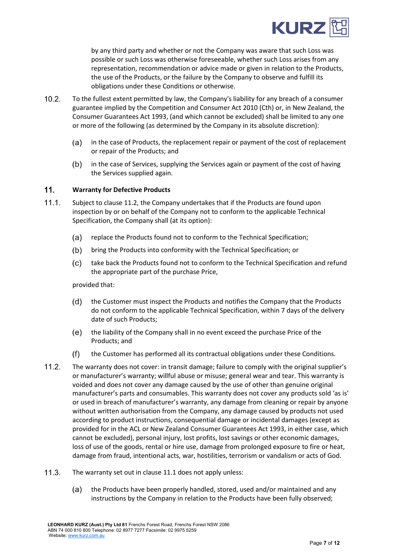

by any third party and whether or not the Company was aware that such Loss was possible or such Loss was otherwise foreseeable, whether such Loss arises from any representation, recommendation or advice made or given in relation to the Products, the use of the Products, or the failure by the Company to observe and fulfill its obligations under these Conditions or otherwise.

- $10.2.$ To the fullest extent permitted by law, the Company's liability for any breach of a consumer guarantee implied by the Competition and Consumer Act 2010 (Cth) or, in New Zealand, the Consumer Guarantees Act 1993, (and which cannot be excluded) shall be limited to any one or more of the following (as determined by the Company in its absolute discretion):
	- $(a)$ in the case of Products, the replacement repair or payment of the cost of replacement or repair of the Products; and
	- $(b)$ in the case of Services, supplying the Services again or payment of the cost of having the Services supplied again.

#### $11.$ **Warranty for Defective Products**

- <span id="page-6-1"></span> $11.1.$ Subject to claus[e 11.2,](#page-6-0) the Company undertakes that if the Products are found upon inspection by or on behalf of the Company not to conform to the applicable Technical Specification, the Company shall (at its option):
	- $(a)$ replace the Products found not to conform to the Technical Specification;
	- $(b)$ bring the Products into conformity with the Technical Specification; or
	- $(c)$ take back the Products found not to conform to the Technical Specification and refund the appropriate part of the purchase Price,

provided that:

- $(d)$ the Customer must inspect the Products and notifies the Company that the Products do not conform to the applicable Technical Specification, within 7 days of the delivery date of such Products;
- (e) the liability of the Company shall in no event exceed the purchase Price of the Products; and
- the Customer has performed all its contractual obligations under these Conditions.  $(f)$
- <span id="page-6-0"></span> $11.2.$ The warranty does not cover: in transit damage; failure to comply with the original supplier's or manufacturer's warranty; willful abuse or misuse; general wear and tear. This warranty is voided and does not cover any damage caused by the use of other than genuine original manufacturer's parts and consumables. This warranty does not cover any products sold 'as is' or used in breach of manufacturer's warranty, any damage from cleaning or repair by anyone without written authorisation from the Company, any damage caused by products not used according to product instructions, consequential damage or incidental damages (except as provided for in the ACL or New Zealand Consumer Guarantees Act 1993, in either case, which cannot be excluded), personal injury, lost profits, lost savings or other economic damages, loss of use of the goods, rental or hire use, damage from prolonged exposure to fire or heat, damage from fraud, intentional acts, war, hostilities, terrorism or vandalism or acts of God.
- $11.3.$ The warranty set out in claus[e 11.1](#page-6-1) does not apply unless:
	- the Products have been properly handled, stored, used and/or maintained and any  $(a)$ instructions by the Company in relation to the Products have been fully observed;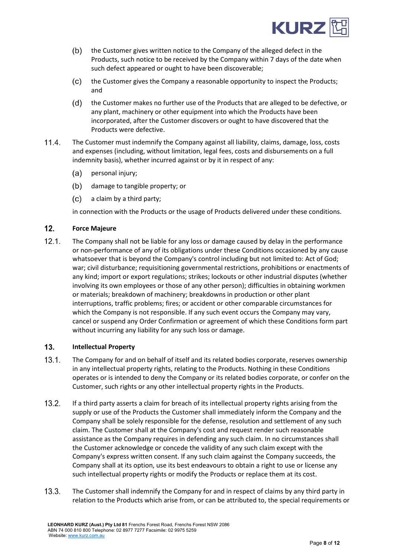

- $(b)$ the Customer gives written notice to the Company of the alleged defect in the Products, such notice to be received by the Company within 7 days of the date when such defect appeared or ought to have been discoverable;
- $(c)$ the Customer gives the Company a reasonable opportunity to inspect the Products; and
- the Customer makes no further use of the Products that are alleged to be defective, or  $(d)$ any plant, machinery or other equipment into which the Products have been incorporated, after the Customer discovers or ought to have discovered that the Products were defective.
- $11.4.$ The Customer must indemnify the Company against all liability, claims, damage, loss, costs and expenses (including, without limitation, legal fees, costs and disbursements on a full indemnity basis), whether incurred against or by it in respect of any:
	- $(a)$ personal injury;
	- $(b)$ damage to tangible property; or
	- $(c)$ a claim by a third party;

in connection with the Products or the usage of Products delivered under these conditions.

#### $12.$ **Force Majeure**

 $12.1.$ The Company shall not be liable for any loss or damage caused by delay in the performance or non-performance of any of its obligations under these Conditions occasioned by any cause whatsoever that is beyond the Company's control including but not limited to: Act of God; war; civil disturbance; requisitioning governmental restrictions, prohibitions or enactments of any kind; import or export regulations; strikes; lockouts or other industrial disputes (whether involving its own employees or those of any other person); difficulties in obtaining workmen or materials; breakdown of machinery; breakdowns in production or other plant interruptions, traffic problems; fires; or accident or other comparable circumstances for which the Company is not responsible. If any such event occurs the Company may vary, cancel or suspend any Order Confirmation or agreement of which these Conditions form part without incurring any liability for any such loss or damage.

## <span id="page-7-0"></span> $13.$ **Intellectual Property**

- $13.1.$ The Company for and on behalf of itself and its related bodies corporate, reserves ownership in any intellectual property rights, relating to the Products. Nothing in these Conditions operates or is intended to deny the Company or its related bodies corporate, or confer on the Customer, such rights or any other intellectual property rights in the Products.
- $13.2.$ If a third party asserts a claim for breach of its intellectual property rights arising from the supply or use of the Products the Customer shall immediately inform the Company and the Company shall be solely responsible for the defense, resolution and settlement of any such claim. The Customer shall at the Company's cost and request render such reasonable assistance as the Company requires in defending any such claim. In no circumstances shall the Customer acknowledge or concede the validity of any such claim except with the Company's express written consent. If any such claim against the Company succeeds, the Company shall at its option, use its best endeavours to obtain a right to use or license any such intellectual property rights or modify the Products or replace them at its cost.
- $13.3.$ The Customer shall indemnify the Company for and in respect of claims by any third party in relation to the Products which arise from, or can be attributed to, the special requirements or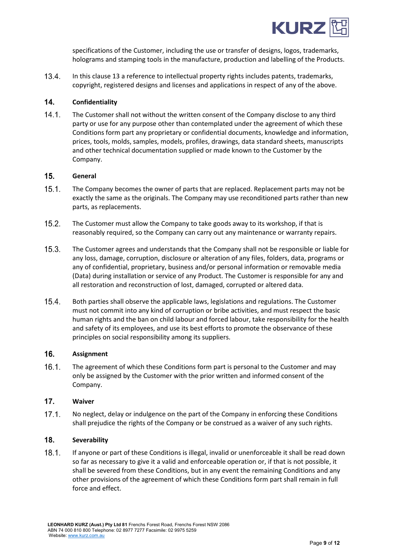

specifications of the Customer, including the use or transfer of designs, logos, trademarks, holograms and stamping tools in the manufacture, production and labelling of the Products.

 $13.4.$ In this clause [13](#page-7-0) a reference to intellectual property rights includes patents, trademarks, copyright, registered designs and licenses and applications in respect of any of the above.

#### $14.$ **Confidentiality**

 $14.1.$ The Customer shall not without the written consent of the Company disclose to any third party or use for any purpose other than contemplated under the agreement of which these Conditions form part any proprietary or confidential documents, knowledge and information, prices, tools, molds, samples, models, profiles, drawings, data standard sheets, manuscripts and other technical documentation supplied or made known to the Customer by the Company.

#### $15.$ **General**

- $15.1.$ The Company becomes the owner of parts that are replaced. Replacement parts may not be exactly the same as the originals. The Company may use reconditioned parts rather than new parts, as replacements.
- $15.2.$ The Customer must allow the Company to take goods away to its workshop, if that is reasonably required, so the Company can carry out any maintenance or warranty repairs.
- $15.3.$ The Customer agrees and understands that the Company shall not be responsible or liable for any loss, damage, corruption, disclosure or alteration of any files, folders, data, programs or any of confidential, proprietary, business and/or personal information or removable media (Data) during installation or service of any Product. The Customer is responsible for any and all restoration and reconstruction of lost, damaged, corrupted or altered data.
- $15.4.$ Both parties shall observe the applicable laws, legislations and regulations. The Customer must not commit into any kind of corruption or bribe activities, and must respect the basic human rights and the ban on child labour and forced labour, take responsibility for the health and safety of its employees, and use its best efforts to promote the observance of these principles on social responsibility among its suppliers.

#### 16. **Assignment**

 $16.1.$ The agreement of which these Conditions form part is personal to the Customer and may only be assigned by the Customer with the prior written and informed consent of the Company.

#### $17.$ **Waiver**

 $17.1.$ No neglect, delay or indulgence on the part of the Company in enforcing these Conditions shall prejudice the rights of the Company or be construed as a waiver of any such rights.

## 18. **Severability**

 $18.1.$ If anyone or part of these Conditions is illegal, invalid or unenforceable it shall be read down so far as necessary to give it a valid and enforceable operation or, if that is not possible, it shall be severed from these Conditions, but in any event the remaining Conditions and any other provisions of the agreement of which these Conditions form part shall remain in full force and effect.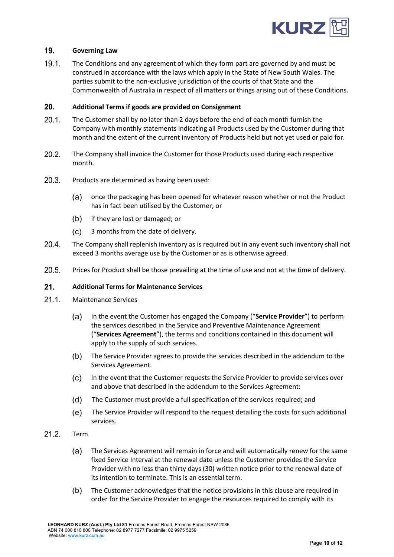

#### $19<sub>1</sub>$ **Governing Law**

 $19.1.$ The Conditions and any agreement of which they form part are governed by and must be construed in accordance with the laws which apply in the State of New South Wales. The parties submit to the non-exclusive jurisdiction of the courts of that State and the Commonwealth of Australia in respect of all matters or things arising out of these Conditions.

#### 20. **Additional Terms if goods are provided on Consignment**

- $20.1.$ The Customer shall by no later than 2 days before the end of each month furnish the Company with monthly statements indicating all Products used by the Customer during that month and the extent of the current inventory of Products held but not yet used or paid for.
- $20.2.$ The Company shall invoice the Customer for those Products used during each respective month.
- $20.3.$ Products are determined as having been used:
	- once the packaging has been opened for whatever reason whether or not the Product (a) has in fact been utilised by the Customer; or
	- $(b)$ if they are lost or damaged; or
	- $(c)$ 3 months from the date of delivery.
- $20.4.$ The Company shall replenish inventory as is required but in any event such inventory shall not exceed 3 months average use by the Customer or as is otherwise agreed.
- $20.5.$ Prices for Product shall be those prevailing at the time of use and not at the time of delivery.

# $21.$ **Additional Terms for Maintenance Services**

- $21.1.$ Maintenance Services
	- $(a)$ In the event the Customer has engaged the Company ("**Service Provider**") to perform the services described in the Service and Preventive Maintenance Agreement ("**Services Agreement**"), the terms and conditions contained in this document will apply to the supply of such services.
	- $(b)$ The Service Provider agrees to provide the services described in the addendum to the Services Agreement.
	- $(c)$ In the event that the Customer requests the Service Provider to provide services over and above that described in the addendum to the Services Agreement:
	- The Customer must provide a full specification of the services required; and  $(d)$
	- $(e)$ The Service Provider will respond to the request detailing the costs for such additional services.
- <span id="page-9-0"></span> $21.2.$ Term
	- $(a)$ The Services Agreement will remain in force and will automatically renew for the same fixed Service Interval at the renewal date unless the Customer provides the Service Provider with no less than thirty days (30) written notice prior to the renewal date of its intention to terminate. This is an essential term.
	- $(b)$ The Customer acknowledges that the notice provisions in this clause are required in order for the Service Provider to engage the resources required to comply with its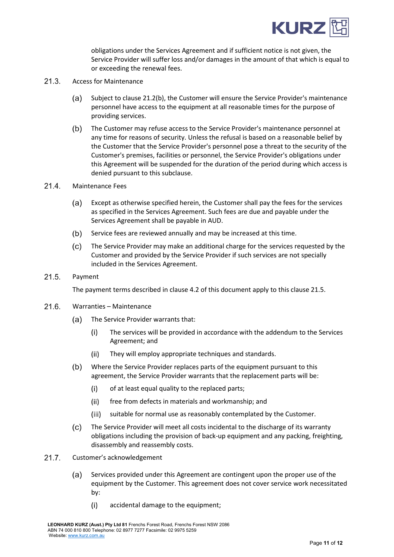

obligations under the Services Agreement and if sufficient notice is not given, the Service Provider will suffer loss and/or damages in the amount of that which is equal to or exceeding the renewal fees.

- $21.3.$ Access for Maintenance
	- Subject to clause [21.2\(](#page-9-0)b), the Customer will ensure the Service Provider's maintenance  $(a)$ personnel have access to the equipment at all reasonable times for the purpose of providing services.
	- $(b)$ The Customer may refuse access to the Service Provider's maintenance personnel at any time for reasons of security. Unless the refusal is based on a reasonable belief by the Customer that the Service Provider's personnel pose a threat to the security of the Customer's premises, facilities or personnel, the Service Provider's obligations under this Agreement will be suspended for the duration of the period during which access is denied pursuant to this subclause.
- $21.4.$ Maintenance Fees
	- $(a)$ Except as otherwise specified herein, the Customer shall pay the fees for the services as specified in the Services Agreement. Such fees are due and payable under the Services Agreement shall be payable in AUD.
	- $(b)$ Service fees are reviewed annually and may be increased at this time.
	- $(c)$ The Service Provider may make an additional charge for the services requested by the Customer and provided by the Service Provider if such services are not specially included in the Services Agreement.
- <span id="page-10-0"></span> $21.5.$ Payment

The payment terms described in clause [4.2](#page-1-1) of this document apply to this clause [21.5.](#page-10-0)

- $21.6.$ Warranties – Maintenance
	- $(a)$ The Service Provider warrants that:
		- The services will be provided in accordance with the addendum to the Services  $(i)$ Agreement; and
		- They will employ appropriate techniques and standards.  $(ii)$
	- $(b)$ Where the Service Provider replaces parts of the equipment pursuant to this agreement, the Service Provider warrants that the replacement parts will be:
		- $(i)$ of at least equal quality to the replaced parts;
		- free from defects in materials and workmanship; and  $(ii)$
		- suitable for normal use as reasonably contemplated by the Customer.  $(iii)$
	- $(c)$ The Service Provider will meet all costs incidental to the discharge of its warranty obligations including the provision of back-up equipment and any packing, freighting, disassembly and reassembly costs.
- $21.7.$ Customer's acknowledgement
	- $(a)$ Services provided under this Agreement are contingent upon the proper use of the equipment by the Customer. This agreement does not cover service work necessitated by:
		- $(i)$ accidental damage to the equipment;